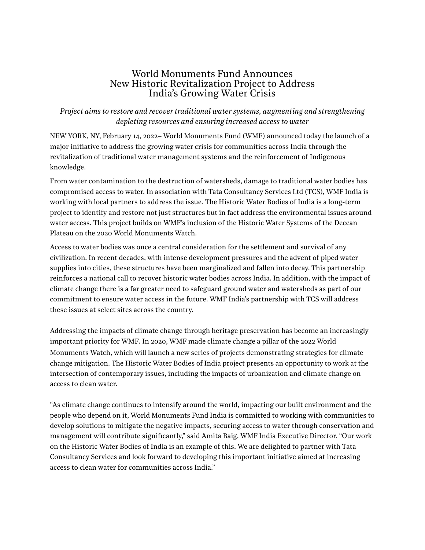## World Monuments Fund Announces New Historic Revitalization Project to Address India's Growing Water Crisis

## *Project aims to restore and recover traditional water systems, augmenting and strengthening depleting resources and ensuring increased access to water*

NEW YORK, NY, February 14, 2022– World Monuments Fund (WMF) announced today the launch of a major initiative to address the growing water crisis for communities across India through the revitalization of traditional water management systems and the reinforcement of Indigenous knowledge.

From water contamination to the destruction of watersheds, damage to traditional water bodies has compromised access to water. In association with Tata Consultancy Services Ltd (TCS), WMF India is working with local partners to address the issue. The Historic Water Bodies of India is a long-term project to identify and restore not just structures but in fact address the environmental issues around water access. This project builds on WMF's inclusion of the Historic Water Systems of the Deccan Plateau on the 2020 World Monuments Watch.

Access to water bodies was once a central consideration for the settlement and survival of any civilization. In recent decades, with intense development pressures and the advent of piped water supplies into cities, these structures have been marginalized and fallen into decay. This partnership reinforces a national call to recover historic water bodies across India. In addition, with the impact of climate change there is a far greater need to safeguard ground water and watersheds as part of our commitment to ensure water access in the future. WMF India's partnership with TCS will address these issues at select sites across the country.

Addressing the impacts of climate change through heritage preservation has become an increasingly important priority for WMF. In 2020, WMF made climate change a pillar of the 2022 World Monuments Watch, which will launch a new series of projects demonstrating strategies for climate change mitigation. The Historic Water Bodies of India project presents an opportunity to work at the intersection of contemporary issues, including the impacts of urbanization and climate change on access to clean water.

"As climate change continues to intensify around the world, impacting our built environment and the people who depend on it, World Monuments Fund India is committed to working with communities to develop solutions to mitigate the negative impacts, securing access to water through conservation and management will contribute significantly," said Amita Baig, WMF India Executive Director. "Our work on the Historic Water Bodies of India is an example of this. We are delighted to partner with Tata Consultancy Services and look forward to developing this important initiative aimed at increasing access to clean water for communities across India."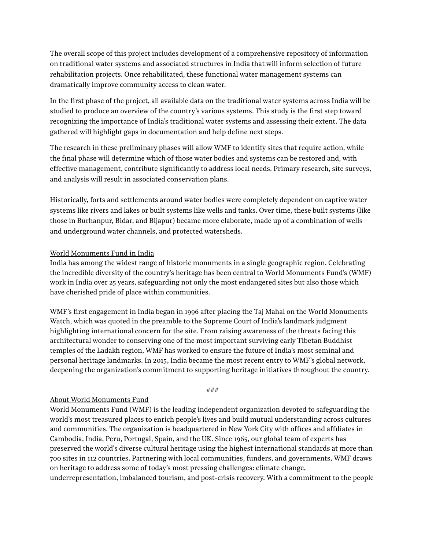The overall scope of this project includes development of a comprehensive repository of information on traditional water systems and associated structures in India that will inform selection of future rehabilitation projects. Once rehabilitated, these functional water management systems can dramatically improve community access to clean water.

In the first phase of the project, all available data on the traditional water systems across India will be studied to produce an overview of the country's various systems. This study is the first step toward recognizing the importance of India's traditional water systems and assessing their extent. The data gathered will highlight gaps in documentation and help define next steps.

The research in these preliminary phases will allow WMF to identify sites that require action, while the final phase will determine which of those water bodies and systems can be restored and, with effective management, contribute significantly to address local needs. Primary research, site surveys, and analysis will result in associated conservation plans.

Historically, forts and settlements around water bodies were completely dependent on captive water systems like rivers and lakes or built systems like wells and tanks. Over time, these built systems (like those in Burhanpur, Bidar, and Bijapur) became more elaborate, made up of a combination of wells and underground water channels, and protected watersheds.

## World Monuments Fund in India

India has among the widest range of historic monuments in a single geographic region. Celebrating the incredible diversity of the country's heritage has been central to World Monuments Fund's (WMF) work in India over 25 years, safeguarding not only the most endangered sites but also those which have cherished pride of place within communities.

WMF's first engagement in India began in 1996 after placing the Taj Mahal on the World Monuments Watch, which was quoted in the preamble to the Supreme Court of India's landmark judgment highlighting international concern for the site. From raising awareness of the threats facing this architectural wonder to conserving one of the most important surviving early Tibetan Buddhist temples of the Ladakh region, WMF has worked to ensure the future of India's most seminal and personal heritage landmarks. In 2015, India became the most recent entry to WMF's global network, deepening the organization's commitment to supporting heritage initiatives throughout the country.

*###*

## About World Monuments Fund

World Monuments Fund (WMF) is the leading independent organization devoted to safeguarding the world's most treasured places to enrich people's lives and build mutual understanding across cultures and communities. The organization is headquartered in New York City with offices and affiliates in Cambodia, India, Peru, Portugal, Spain, and the UK. Since 1965, our global team of experts has preserved the world's diverse cultural heritage using the highest international standards at more than 700 sites in 112 countries. Partnering with local communities, funders, and governments, WMF draws on heritage to address some of today's most pressing challenges: climate change, underrepresentation, imbalanced tourism, and post-crisis recovery. With a commitment to the people